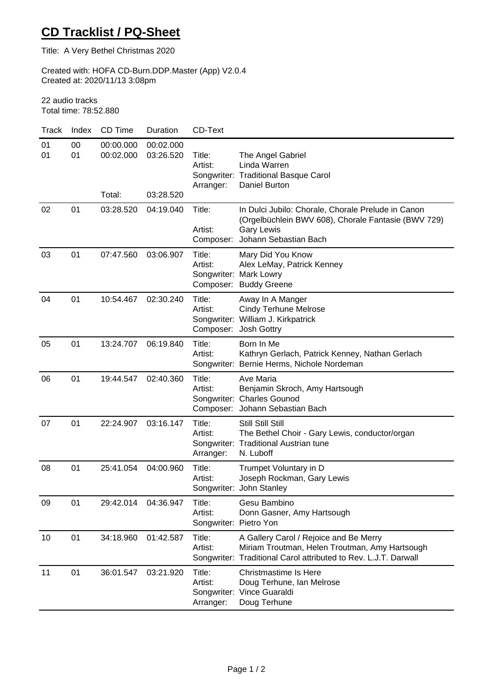## **CD Tracklist / PQ-Sheet**

Title: A Very Bethel Christmas 2020

Created with: HOFA CD-Burn.DDP.Master (App) V2.0.4 Created at: 2020/11/13 3:08pm

22 audio tracks Total time: 78:52.880

| Track    | Index    | CD Time                          | Duration                            | CD-Text                                     |                                                                                                                                                             |
|----------|----------|----------------------------------|-------------------------------------|---------------------------------------------|-------------------------------------------------------------------------------------------------------------------------------------------------------------|
| 01<br>01 | 00<br>01 | 00:00.000<br>00:02.000<br>Total: | 00:02.000<br>03:26.520<br>03:28.520 | Title:<br>Artist:<br>Arranger:              | The Angel Gabriel<br>Linda Warren<br>Songwriter: Traditional Basque Carol<br>Daniel Burton                                                                  |
| 02       | 01       | 03:28.520                        | 04:19.040                           | Title:<br>Artist:<br>Composer:              | In Dulci Jubilo: Chorale, Chorale Prelude in Canon<br>(Orgelbüchlein BWV 608), Chorale Fantasie (BWV 729)<br><b>Gary Lewis</b><br>Johann Sebastian Bach     |
| 03       | 01       | 07:47.560                        | 03:06.907                           | Title:<br>Artist:                           | Mary Did You Know<br>Alex LeMay, Patrick Kenney<br>Songwriter: Mark Lowry<br>Composer: Buddy Greene                                                         |
| 04       | 01       | 10:54.467                        | 02:30.240                           | Title:<br>Artist:                           | Away In A Manger<br><b>Cindy Terhune Melrose</b><br>Songwriter: William J. Kirkpatrick<br>Composer: Josh Gottry                                             |
| 05       | 01       | 13:24.707                        | 06:19.840                           | Title:<br>Artist:                           | Born In Me<br>Kathryn Gerlach, Patrick Kenney, Nathan Gerlach<br>Songwriter: Bernie Herms, Nichole Nordeman                                                 |
| 06       | 01       | 19:44.547                        | 02:40.360                           | Title:<br>Artist:                           | Ave Maria<br>Benjamin Skroch, Amy Hartsough<br>Songwriter: Charles Gounod<br>Composer: Johann Sebastian Bach                                                |
| 07       | 01       | 22:24.907                        | 03:16.147                           | Title:<br>Artist:<br>Arranger:              | Still Still Still<br>The Bethel Choir - Gary Lewis, conductor/organ<br>Songwriter: Traditional Austrian tune<br>N. Luboff                                   |
| 08       | 01       | 25:41.054                        | 04:00.960                           | Title:<br>Artist:                           | Trumpet Voluntary in D<br>Joseph Rockman, Gary Lewis<br>Songwriter: John Stanley                                                                            |
| 09       | 01       | 29:42.014                        | 04:36.947                           | Title:<br>Artist:<br>Songwriter: Pietro Yon | Gesu Bambino<br>Donn Gasner, Amy Hartsough                                                                                                                  |
| 10       | 01       | 34:18.960                        | 01:42.587                           | Title:<br>Artist:                           | A Gallery Carol / Rejoice and Be Merry<br>Miriam Troutman, Helen Troutman, Amy Hartsough<br>Songwriter: Traditional Carol attributed to Rev. L.J.T. Darwall |
| 11       | 01       | 36:01.547                        | 03:21.920                           | Title:<br>Artist:<br>Arranger:              | <b>Christmastime Is Here</b><br>Doug Terhune, Ian Melrose<br>Songwriter: Vince Guaraldi<br>Doug Terhune                                                     |